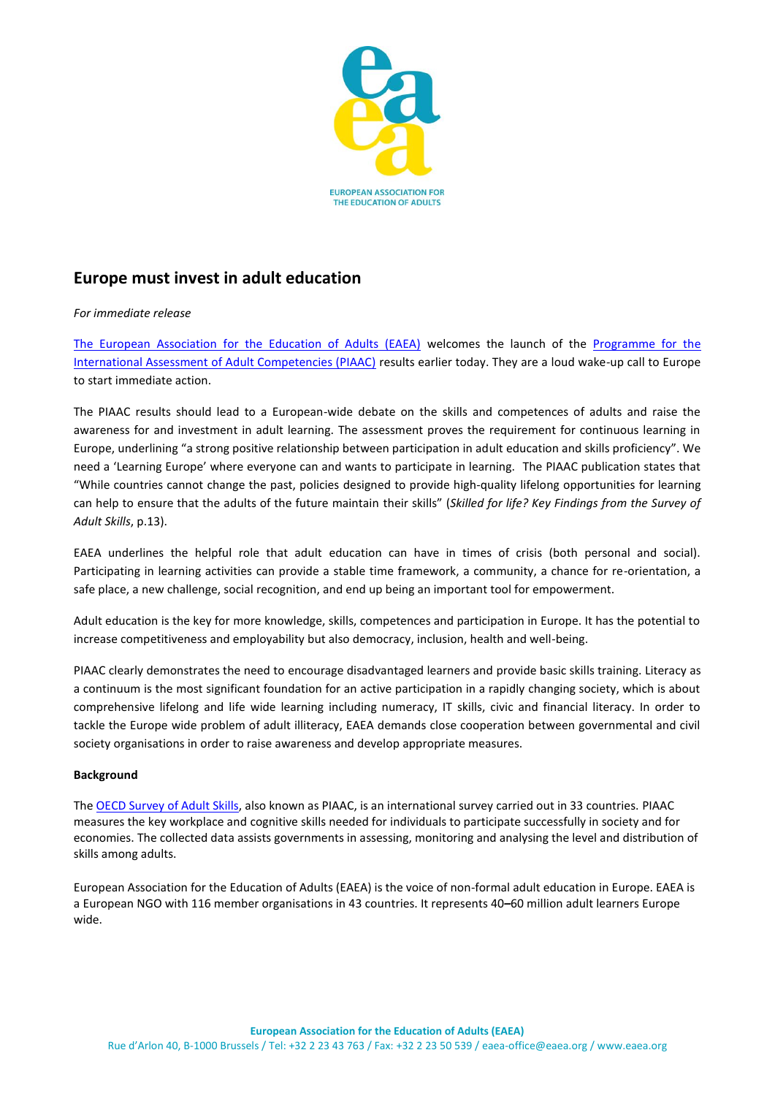

## **Europe must invest in adult education**

## *For immediate release*

[The European Association for the Education of Adults \(EAEA\)](http://www.eaea.org/) welcomes the launch of the [Programme for the](http://www.oecd.org/site/piaac/)  [International Assessment of Adult Competencies \(PIAAC\)](http://www.oecd.org/site/piaac/) results earlier today. They are a loud wake-up call to Europe to start immediate action.

The PIAAC results should lead to a European-wide debate on the skills and competences of adults and raise the awareness for and investment in adult learning. The assessment proves the requirement for continuous learning in Europe, underlining "a strong positive relationship between participation in adult education and skills proficiency". We need a 'Learning Europe' where everyone can and wants to participate in learning. The PIAAC publication states that "While countries cannot change the past, policies designed to provide high-quality lifelong opportunities for learning can help to ensure that the adults of the future maintain their skills" (*Skilled for life? Key Findings from the Survey of Adult Skills*, p.13).

EAEA underlines the helpful role that adult education can have in times of crisis (both personal and social). Participating in learning activities can provide a stable time framework, a community, a chance for re-orientation, a safe place, a new challenge, social recognition, and end up being an important tool for empowerment.

Adult education is the key for more knowledge, skills, competences and participation in Europe. It has the potential to increase competitiveness and employability but also democracy, inclusion, health and well-being.

PIAAC clearly demonstrates the need to encourage disadvantaged learners and provide basic skills training. Literacy as a continuum is the most significant foundation for an active participation in a rapidly changing society, which is about comprehensive lifelong and life wide learning including numeracy, IT skills, civic and financial literacy. In order to tackle the Europe wide problem of adult illiteracy, EAEA demands close cooperation between governmental and civil society organisations in order to raise awareness and develop appropriate measures.

## **Background**

The [OECD Survey of Adult Skills,](http://skills.oecd.org/skillsoutlook.html) also known as PIAAC, is an international survey carried out in 33 countries. PIAAC measures the key workplace and cognitive skills needed for individuals to participate successfully in society and for economies. The collected data assists governments in assessing, monitoring and analysing the level and distribution of skills among adults.

European Association for the Education of Adults (EAEA) is the voice of non-formal adult education in Europe. EAEA is a European NGO with 116 member organisations in 43 countries. It represents 40*–*60 million adult learners Europe wide.